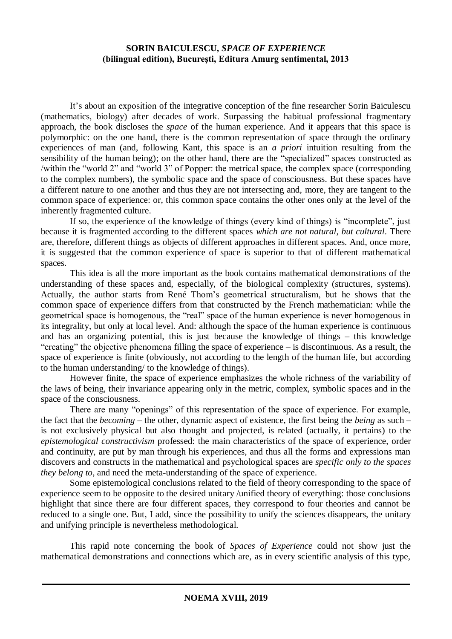## **SORIN BAICULESCU,** *SPACE OF EXPERIENCE* **(bilingual edition), Bucureşti, Editura Amurg sentimental, 2013**

It's about an exposition of the integrative conception of the fine researcher Sorin Baiculescu (mathematics, biology) after decades of work. Surpassing the habitual professional fragmentary approach, the book discloses the *space* of the human experience. And it appears that this space is polymorphic: on the one hand, there is the common representation of space through the ordinary experiences of man (and, following Kant, this space is an *a priori* intuition resulting from the sensibility of the human being); on the other hand, there are the "specialized" spaces constructed as /within the "world 2" and "world 3" of Popper: the metrical space, the complex space (corresponding to the complex numbers), the symbolic space and the space of consciousness. But these spaces have a different nature to one another and thus they are not intersecting and, more, they are tangent to the common space of experience: or, this common space contains the other ones only at the level of the inherently fragmented culture.

If so, the experience of the knowledge of things (every kind of things) is "incomplete", just because it is fragmented according to the different spaces *which are not natural*, *but cultural*. There are, therefore, different things as objects of different approaches in different spaces. And, once more, it is suggested that the common experience of space is superior to that of different mathematical spaces.

This idea is all the more important as the book contains mathematical demonstrations of the understanding of these spaces and, especially, of the biological complexity (structures, systems). Actually, the author starts from René Thom's geometrical structuralism, but he shows that the common space of experience differs from that constructed by the French mathematician: while the geometrical space is homogenous, the "real" space of the human experience is never homogenous in its integrality, but only at local level. And: although the space of the human experience is continuous and has an organizing potential, this is just because the knowledge of things – this knowledge "creating" the objective phenomena filling the space of experience – is discontinuous. As a result, the space of experience is finite (obviously, not according to the length of the human life, but according to the human understanding/ to the knowledge of things).

However finite, the space of experience emphasizes the whole richness of the variability of the laws of being, their invariance appearing only in the metric, complex, symbolic spaces and in the space of the consciousness.

There are many "openings" of this representation of the space of experience. For example, the fact that the *becoming* – the other, dynamic aspect of existence, the first being the *being* as such – is not exclusively physical but also thought and projected, is related (actually, it pertains) to the *epistemological constructivism* professed: the main characteristics of the space of experience, order and continuity, are put by man through his experiences, and thus all the forms and expressions man discovers and constructs in the mathematical and psychological spaces are *specific only to the spaces they belong to*, and need the meta-understanding of the space of experience.

Some epistemological conclusions related to the field of theory corresponding to the space of experience seem to be opposite to the desired unitary /unified theory of everything: those conclusions highlight that since there are four different spaces, they correspond to four theories and cannot be reduced to a single one. But, I add, since the possibility to unify the sciences disappears, the unitary and unifying principle is nevertheless methodological.

This rapid note concerning the book of *Spaces of Experience* could not show just the mathematical demonstrations and connections which are, as in every scientific analysis of this type,